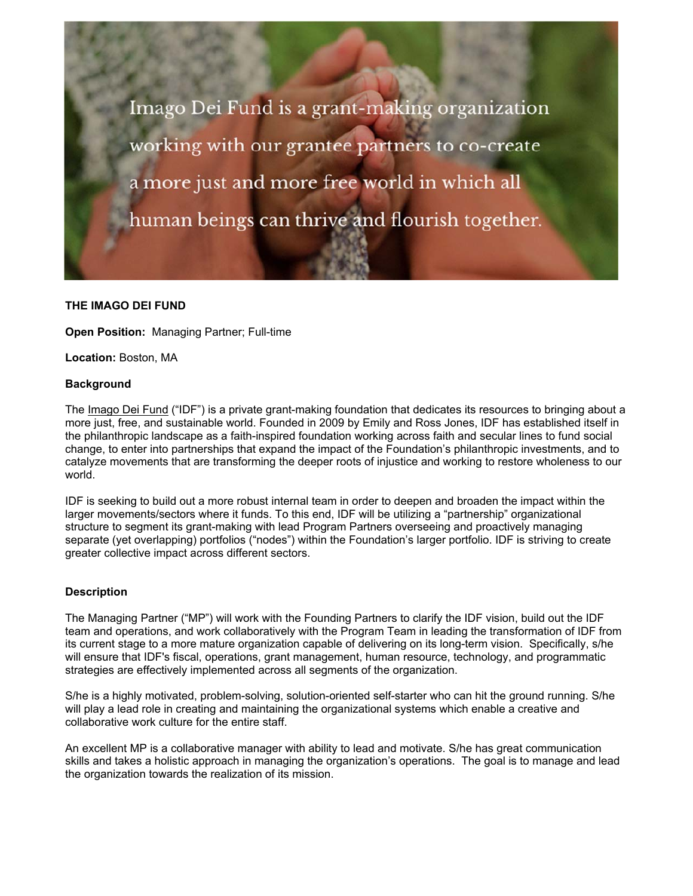Imago Dei Fund is a grant-making organization working with our grantee partners to co-create a more just and more free world in which all human beings can thrive and flourish together.

#### **THE IMAGO DEI FUND**

**Open Position: Managing Partner: Full-time** 

**Location:** Boston, MA

#### **Background**

The Imago Dei Fund ("IDF") is a private grant-making foundation that dedicates its resources to bringing about a more just, free, and sustainable world. Founded in 2009 by Emily and Ross Jones, IDF has established itself in the philanthropic landscape as a faith-inspired foundation working across faith and secular lines to fund social change, to enter into partnerships that expand the impact of the Foundation's philanthropic investments, and to catalyze movements that are transforming the deeper roots of injustice and working to restore wholeness to our world.

IDF is seeking to build out a more robust internal team in order to deepen and broaden the impact within the larger movements/sectors where it funds. To this end, IDF will be utilizing a "partnership" organizational structure to segment its grant-making with lead Program Partners overseeing and proactively managing separate (yet overlapping) portfolios ("nodes") within the Foundation's larger portfolio. IDF is striving to create greater collective impact across different sectors.

#### **Description**

The Managing Partner ("MP") will work with the Founding Partners to clarify the IDF vision, build out the IDF team and operations, and work collaboratively with the Program Team in leading the transformation of IDF from its current stage to a more mature organization capable of delivering on its long-term vision. Specifically, s/he will ensure that IDF's fiscal, operations, grant management, human resource, technology, and programmatic strategies are effectively implemented across all segments of the organization.

S/he is a highly motivated, problem-solving, solution-oriented self-starter who can hit the ground running. S/he will play a lead role in creating and maintaining the organizational systems which enable a creative and collaborative work culture for the entire staff.

An excellent MP is a collaborative manager with ability to lead and motivate. S/he has great communication skills and takes a holistic approach in managing the organization's operations. The goal is to manage and lead the organization towards the realization of its mission.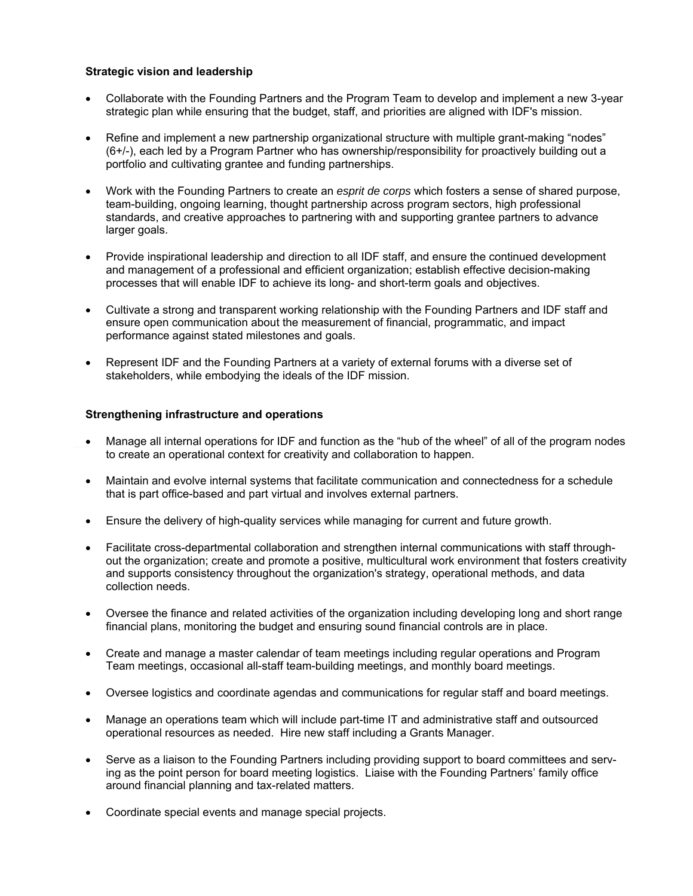## **Strategic vision and leadership**

- Collaborate with the Founding Partners and the Program Team to develop and implement a new 3-year strategic plan while ensuring that the budget, staff, and priorities are aligned with IDF's mission.
- Refine and implement a new partnership organizational structure with multiple grant-making "nodes" (6+/-), each led by a Program Partner who has ownership/responsibility for proactively building out a portfolio and cultivating grantee and funding partnerships.
- Work with the Founding Partners to create an *esprit de corps* which fosters a sense of shared purpose, team-building, ongoing learning, thought partnership across program sectors, high professional standards, and creative approaches to partnering with and supporting grantee partners to advance larger goals.
- Provide inspirational leadership and direction to all IDF staff, and ensure the continued development and management of a professional and efficient organization; establish effective decision-making processes that will enable IDF to achieve its long- and short-term goals and objectives.
- Cultivate a strong and transparent working relationship with the Founding Partners and IDF staff and ensure open communication about the measurement of financial, programmatic, and impact performance against stated milestones and goals.
- Represent IDF and the Founding Partners at a variety of external forums with a diverse set of stakeholders, while embodying the ideals of the IDF mission.

## **Strengthening infrastructure and operations**

- Manage all internal operations for IDF and function as the "hub of the wheel" of all of the program nodes to create an operational context for creativity and collaboration to happen.
- Maintain and evolve internal systems that facilitate communication and connectedness for a schedule that is part office-based and part virtual and involves external partners.
- Ensure the delivery of high-quality services while managing for current and future growth.
- Facilitate cross-departmental collaboration and strengthen internal communications with staff throughout the organization; create and promote a positive, multicultural work environment that fosters creativity and supports consistency throughout the organization's strategy, operational methods, and data collection needs.
- Oversee the finance and related activities of the organization including developing long and short range financial plans, monitoring the budget and ensuring sound financial controls are in place.
- Create and manage a master calendar of team meetings including regular operations and Program Team meetings, occasional all-staff team-building meetings, and monthly board meetings.
- Oversee logistics and coordinate agendas and communications for regular staff and board meetings.
- Manage an operations team which will include part-time IT and administrative staff and outsourced operational resources as needed. Hire new staff including a Grants Manager.
- Serve as a liaison to the Founding Partners including providing support to board committees and serving as the point person for board meeting logistics. Liaise with the Founding Partners' family office around financial planning and tax-related matters.
- Coordinate special events and manage special projects.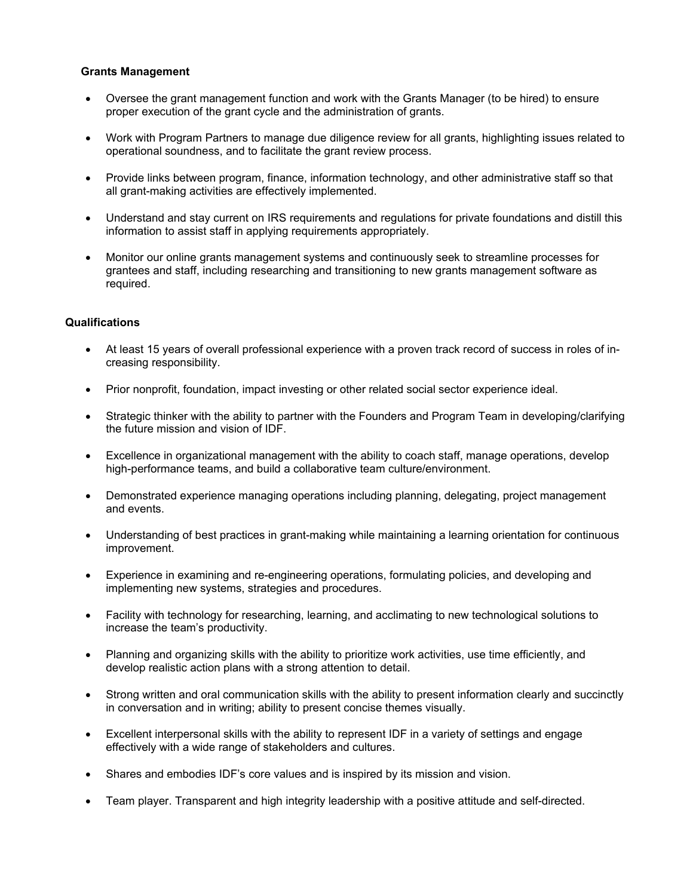#### **Grants Management**

- Oversee the grant management function and work with the Grants Manager (to be hired) to ensure proper execution of the grant cycle and the administration of grants.
- Work with Program Partners to manage due diligence review for all grants, highlighting issues related to operational soundness, and to facilitate the grant review process.
- Provide links between program, finance, information technology, and other administrative staff so that all grant-making activities are effectively implemented.
- Understand and stay current on IRS requirements and regulations for private foundations and distill this information to assist staff in applying requirements appropriately.
- Monitor our online grants management systems and continuously seek to streamline processes for grantees and staff, including researching and transitioning to new grants management software as required.

## **Qualifications**

- At least 15 years of overall professional experience with a proven track record of success in roles of increasing responsibility.
- Prior nonprofit, foundation, impact investing or other related social sector experience ideal.
- Strategic thinker with the ability to partner with the Founders and Program Team in developing/clarifying the future mission and vision of IDF.
- Excellence in organizational management with the ability to coach staff, manage operations, develop high-performance teams, and build a collaborative team culture/environment.
- Demonstrated experience managing operations including planning, delegating, project management and events.
- Understanding of best practices in grant-making while maintaining a learning orientation for continuous improvement.
- Experience in examining and re-engineering operations, formulating policies, and developing and implementing new systems, strategies and procedures.
- Facility with technology for researching, learning, and acclimating to new technological solutions to increase the team's productivity.
- Planning and organizing skills with the ability to prioritize work activities, use time efficiently, and develop realistic action plans with a strong attention to detail.
- Strong written and oral communication skills with the ability to present information clearly and succinctly in conversation and in writing; ability to present concise themes visually.
- Excellent interpersonal skills with the ability to represent IDF in a variety of settings and engage effectively with a wide range of stakeholders and cultures.
- Shares and embodies IDF's core values and is inspired by its mission and vision.
- Team player. Transparent and high integrity leadership with a positive attitude and self-directed.